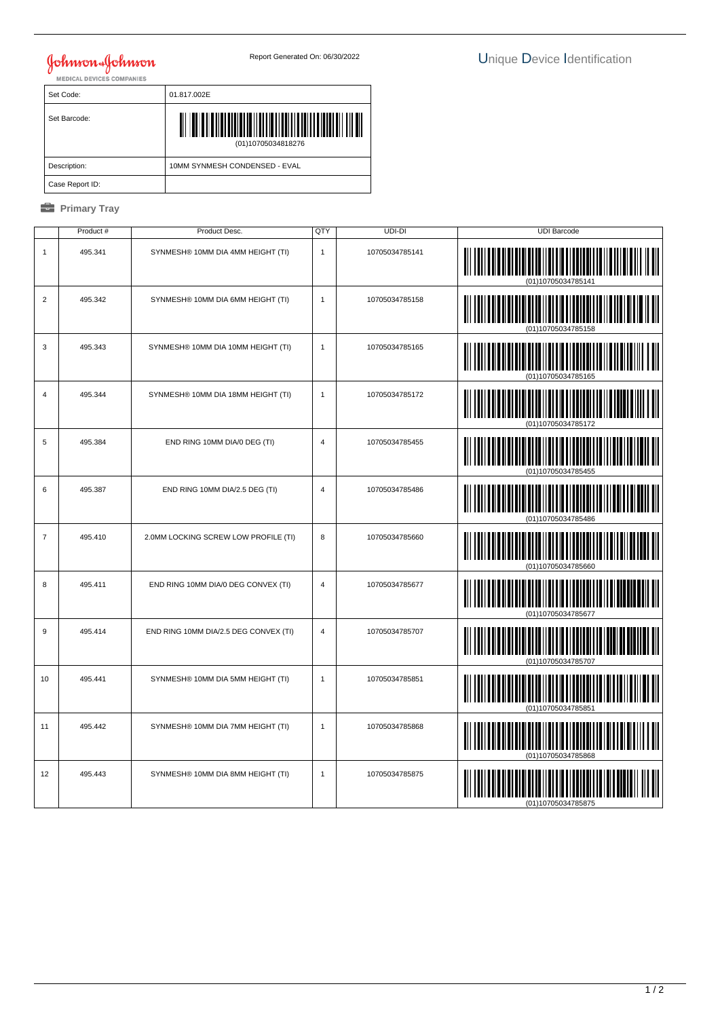## **Johnson & Johnson**

| Set Code:       | 01.817.002E                   |  |  |
|-----------------|-------------------------------|--|--|
| Set Barcode:    | (01)10705034818276            |  |  |
| Description:    | 10MM SYNMESH CONDENSED - EVAL |  |  |
| Case Report ID: |                               |  |  |

## *<u><b>* Primary Tray</u>

|                | Product # | Product Desc.                         | QTY            | UDI-DI         | <b>UDI Barcode</b> |
|----------------|-----------|---------------------------------------|----------------|----------------|--------------------|
| $\mathbf{1}$   | 495.341   | SYNMESH® 10MM DIA 4MM HEIGHT (TI)     | $\mathbf{1}$   | 10705034785141 | (01)10705034785141 |
| $\overline{2}$ | 495.342   | SYNMESH® 10MM DIA 6MM HEIGHT (TI)     | $\mathbf{1}$   | 10705034785158 |                    |
| 3              | 495.343   | SYNMESH® 10MM DIA 10MM HEIGHT (TI)    | $\mathbf{1}$   | 10705034785165 |                    |
| $\overline{4}$ | 495.344   | SYNMESH® 10MM DIA 18MM HEIGHT (TI)    | $\mathbf{1}$   | 10705034785172 | <b>IIIII</b>       |
| 5              | 495.384   | END RING 10MM DIA/0 DEG (TI)          | $\overline{4}$ | 10705034785455 |                    |
| 6              | 495.387   | END RING 10MM DIA/2.5 DEG (TI)        | 4              | 10705034785486 |                    |
| $\overline{7}$ | 495.410   | 2.0MM LOCKING SCREW LOW PROFILE (TI)  | 8              | 10705034785660 | IIII               |
| 8              | 495.411   | END RING 10MM DIA/0 DEG CONVEX (TI)   | $\overline{4}$ | 10705034785677 | <b>TIII</b>        |
| $\mathsf g$    | 495.414   | END RING 10MM DIA/2.5 DEG CONVEX (TI) | $\overline{4}$ | 10705034785707 | <b>THE HE</b>      |
| 10             | 495.441   | SYNMESH® 10MM DIA 5MM HEIGHT (TI)     | $\mathbf{1}$   | 10705034785851 |                    |
| 11             | 495.442   | SYNMESH® 10MM DIA 7MM HEIGHT (TI)     | $\mathbf{1}$   | 10705034785868 | (01)10705034785868 |
| 12             | 495.443   | SYNMESH® 10MM DIA 8MM HEIGHT (TI)     | $\mathbf{1}$   | 10705034785875 |                    |